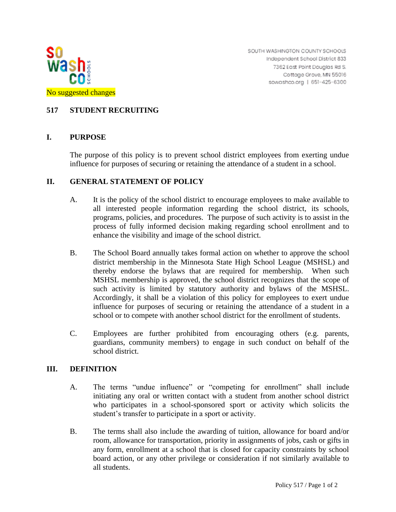

SOUTH WASHINGTON COUNTY SCHOOLS Independent School District 833 7362 East Point Douglas Rd S. Cottage Grove, MN 55016 sowashco.org | 651-425-6300

# **517 STUDENT RECRUITING**

### **I. PURPOSE**

The purpose of this policy is to prevent school district employees from exerting undue influence for purposes of securing or retaining the attendance of a student in a school.

#### **II. GENERAL STATEMENT OF POLICY**

- A. It is the policy of the school district to encourage employees to make available to all interested people information regarding the school district, its schools, programs, policies, and procedures. The purpose of such activity is to assist in the process of fully informed decision making regarding school enrollment and to enhance the visibility and image of the school district.
- B. The School Board annually takes formal action on whether to approve the school district membership in the Minnesota State High School League (MSHSL) and thereby endorse the bylaws that are required for membership. When such MSHSL membership is approved, the school district recognizes that the scope of such activity is limited by statutory authority and bylaws of the MSHSL. Accordingly, it shall be a violation of this policy for employees to exert undue influence for purposes of securing or retaining the attendance of a student in a school or to compete with another school district for the enrollment of students.
- C. Employees are further prohibited from encouraging others (e.g. parents, guardians, community members) to engage in such conduct on behalf of the school district.

#### **III. DEFINITION**

- A. The terms "undue influence" or "competing for enrollment" shall include initiating any oral or written contact with a student from another school district who participates in a school-sponsored sport or activity which solicits the student's transfer to participate in a sport or activity.
- B. The terms shall also include the awarding of tuition, allowance for board and/or room, allowance for transportation, priority in assignments of jobs, cash or gifts in any form, enrollment at a school that is closed for capacity constraints by school board action, or any other privilege or consideration if not similarly available to all students.